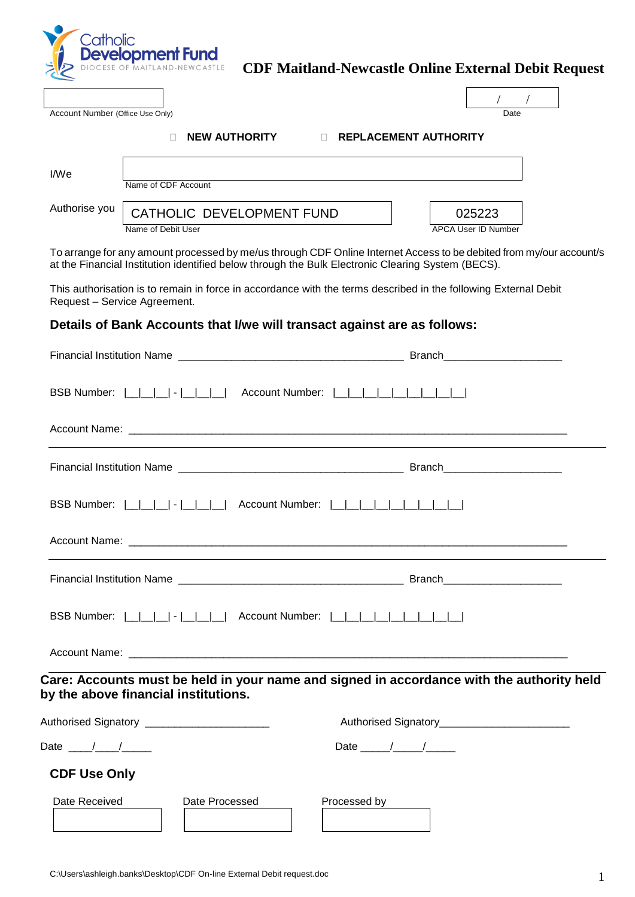

## **CDF Maitland-Newcastle Online External Debit Request**

 $\overline{1}$ 

| Account Number (Office Use Only) |                                                      | Date                |
|----------------------------------|------------------------------------------------------|---------------------|
|                                  |                                                      |                     |
|                                  | <b>NEW AUTHORITY</b><br><b>REPLACEMENT AUTHORITY</b> |                     |
| I/We                             |                                                      |                     |
|                                  | Name of CDF Account                                  |                     |
| Authorise you                    | CATHOLIC DEVELOPMENT FUND                            | 025223              |
|                                  | Name of Debit User                                   | APCA User ID Number |

To arrange for any amount processed by me/us through CDF Online Internet Access to be debited from my/our account/s at the Financial Institution identified below through the Bulk Electronic Clearing System (BECS).

This authorisation is to remain in force in accordance with the terms described in the following External Debit Request – Service Agreement.

## **Details of Bank Accounts that I/we will transact against are as follows:**

| BSB Number:  _ _ _ _  -  __ __ __  Account Number:  _ _ _ _ _ _ _ _ _ _ _ _ _                                                     |                                                                                                                                                                                                                                                                                                                                                                                                                             |  |  |
|-----------------------------------------------------------------------------------------------------------------------------------|-----------------------------------------------------------------------------------------------------------------------------------------------------------------------------------------------------------------------------------------------------------------------------------------------------------------------------------------------------------------------------------------------------------------------------|--|--|
|                                                                                                                                   |                                                                                                                                                                                                                                                                                                                                                                                                                             |  |  |
|                                                                                                                                   |                                                                                                                                                                                                                                                                                                                                                                                                                             |  |  |
| BSB Number:                         Account Number:                                                                               |                                                                                                                                                                                                                                                                                                                                                                                                                             |  |  |
|                                                                                                                                   |                                                                                                                                                                                                                                                                                                                                                                                                                             |  |  |
| Care: Accounts must be held in your name and signed in accordance with the authority held<br>by the above financial institutions. |                                                                                                                                                                                                                                                                                                                                                                                                                             |  |  |
| Authorised Signatory _________________________                                                                                    |                                                                                                                                                                                                                                                                                                                                                                                                                             |  |  |
| Date $\frac{1}{\sqrt{1-\frac{1}{2}}}$                                                                                             | Date $\frac{1}{\sqrt{1-\frac{1}{2}}}\frac{1}{\sqrt{1-\frac{1}{2}}}\frac{1}{\sqrt{1-\frac{1}{2}}}\frac{1}{\sqrt{1-\frac{1}{2}}}\frac{1}{\sqrt{1-\frac{1}{2}}}\frac{1}{\sqrt{1-\frac{1}{2}}}\frac{1}{\sqrt{1-\frac{1}{2}}}\frac{1}{\sqrt{1-\frac{1}{2}}}\frac{1}{\sqrt{1-\frac{1}{2}}}\frac{1}{\sqrt{1-\frac{1}{2}}}\frac{1}{\sqrt{1-\frac{1}{2}}}\frac{1}{\sqrt{1-\frac{1}{2}}}\frac{1}{\sqrt{1-\frac{1}{2}}}\frac{1}{\sqrt$ |  |  |
| <b>CDF Use Only</b>                                                                                                               |                                                                                                                                                                                                                                                                                                                                                                                                                             |  |  |
| Date Received<br>Date Processed<br>Processed by                                                                                   |                                                                                                                                                                                                                                                                                                                                                                                                                             |  |  |